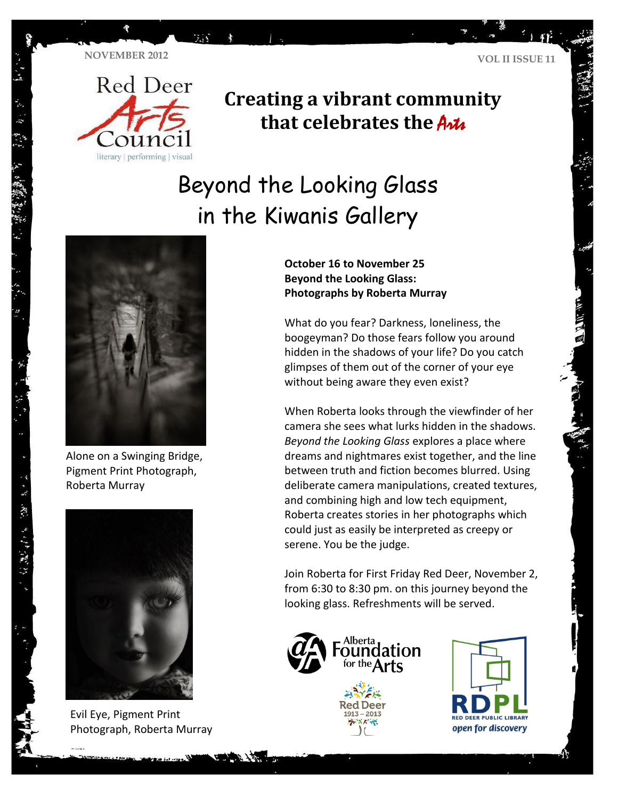

**TA** 



### **Creating a vibrant community that celebrates the Artic**

# Beyond the Looking Glass in the Kiwanis Gallery



Alone on a Swinging Bridge, Pigment Print Photograph, Roberta Murray



Evil Eye, Pigment Print Photograph, Roberta Murray

**October 16 to November 25 Beyond the Looking Glass: Photographs by Roberta Murray** 

What do you fear? Darkness, loneliness, the boogeyman? Do those fears follow you around hidden in the shadows of your life? Do you catch glimpses of them out of the corner of your eye without being aware they even exist?

When Roberta looks through the viewfinder of her camera she sees what lurks hidden in the shadows. *Beyond the Looking Glass* explores a place where dreams and nightmares exist together, and the line between truth and fiction becomes blurred. Using deliberate camera manipulations, created textures, and combining high and low tech equipment, Roberta creates stories in her photographs which could just as easily be interpreted as creepy or serene. You be the judge.

Join Roberta for First Friday Red Deer, November 2, from 6:30 to 8:30 pm. on this journey beyond the looking glass. Refreshments will be served.





・ドー 来社 きげん (物) リー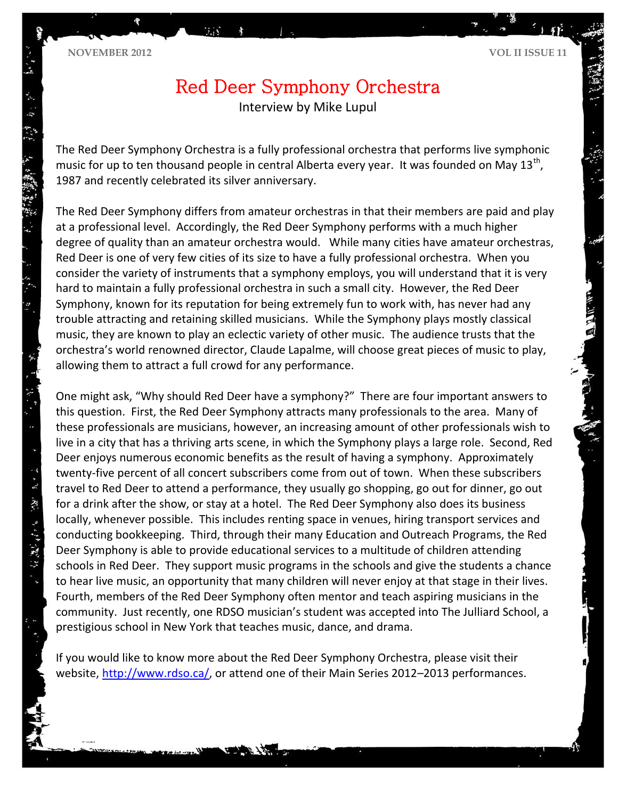## Red Deer Symphony Orchestra

Interview by Mike Lupul

The Red Deer Symphony Orchestra is a fully professional orchestra that performs live symphonic music for up to ten thousand people in central Alberta every year. It was founded on May 13<sup>th</sup>, 1987 and recently celebrated its silver anniversary.

The Red Deer Symphony differs from amateur orchestras in that their members are paid and play at a professional level. Accordingly, the Red Deer Symphony performs with a much higher degree of quality than an amateur orchestra would. While many cities have amateur orchestras, Red Deer is one of very few cities of its size to have a fully professional orchestra. When you consider the variety of instruments that a symphony employs, you will understand that it is very hard to maintain a fully professional orchestra in such a small city. However, the Red Deer Symphony, known for its reputation for being extremely fun to work with, has never had any trouble attracting and retaining skilled musicians. While the Symphony plays mostly classical music, they are known to play an eclectic variety of other music. The audience trusts that the orchestra's world renowned director, Claude Lapalme, will choose great pieces of music to play, allowing them to attract a full crowd for any performance.

One might ask, "Why should Red Deer have a symphony?" There are four important answers to this question. First, the Red Deer Symphony attracts many professionals to the area. Many of these professionals are musicians, however, an increasing amount of other professionals wish to live in a city that has a thriving arts scene, in which the Symphony plays a large role. Second, Red Deer enjoys numerous economic benefits as the result of having a symphony. Approximately twenty-five percent of all concert subscribers come from out of town. When these subscribers travel to Red Deer to attend a performance, they usually go shopping, go out for dinner, go out for a drink after the show, or stay at a hotel. The Red Deer Symphony also does its business locally, whenever possible. This includes renting space in venues, hiring transport services and conducting bookkeeping. Third, through their many Education and Outreach Programs, the Red Deer Symphony is able to provide educational services to a multitude of children attending schools in Red Deer. They support music programs in the schools and give the students a chance to hear live music, an opportunity that many children will never enjoy at that stage in their lives. Fourth, members of the Red Deer Symphony often mentor and teach aspiring musicians in the community. Just recently, one RDSO musician's student was accepted into The Julliard School, a prestigious school in New York that teaches music, dance, and drama.

If you would like to know more about the Red Deer Symphony Orchestra, please visit their website, [http://www.rdso.ca/,](http://www.rdso.ca/) or attend one of their Main Series 2012–2013 performances.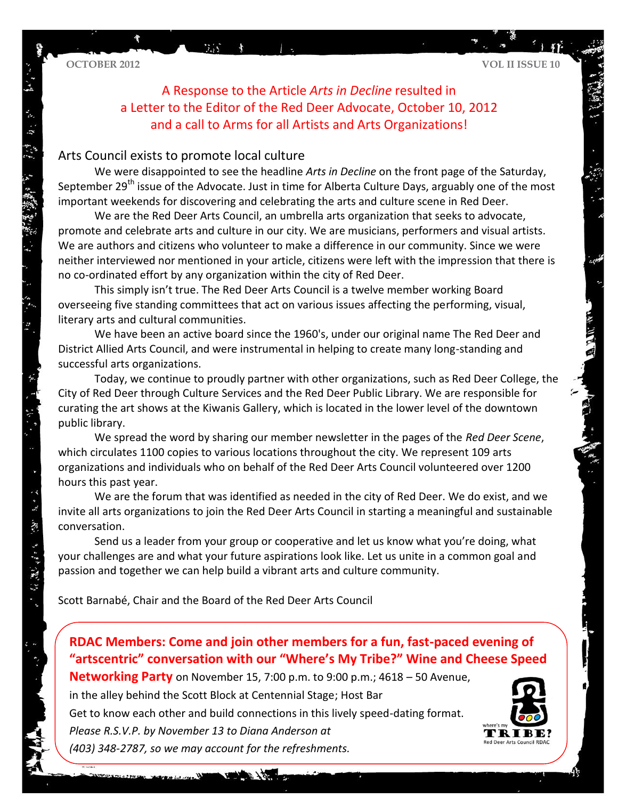**OCTOBER 2012 VOL II ISSUE 10**

 $\mathcal{C}^{\mathcal{M}}=\mathcal{R}^{\mathcal{C}}_{\mathcal{C},\mathcal{C}}$ 

分数据

A Response to the Article *Arts in Decline* resulted in a Letter to the Editor of the Red Deer Advocate, October 10, 2012 and a call to Arms for all Artists and Arts Organizations!

### Arts Council exists to promote local culture

We were disappointed to see the headline *Arts in Decline* on the front page of the Saturday, September 29<sup>th</sup> issue of the Advocate. Just in time for Alberta Culture Days, arguably one of the most important weekends for discovering and celebrating the arts and culture scene in Red Deer.

We are the Red Deer Arts Council, an umbrella arts organization that seeks to advocate, promote and celebrate arts and culture in our city. We are musicians, performers and visual artists. We are authors and citizens who volunteer to make a difference in our community. Since we were neither interviewed nor mentioned in your article, citizens were left with the impression that there is no co-ordinated effort by any organization within the city of Red Deer.

This simply isn't true. The Red Deer Arts Council is a twelve member working Board overseeing five standing committees that act on various issues affecting the performing, visual, literary arts and cultural communities.

We have been an active board since the 1960's, under our original name The Red Deer and District Allied Arts Council, and were instrumental in helping to create many long-standing and successful arts organizations.

Today, we continue to proudly partner with other organizations, such as Red Deer College, the City of Red Deer through Culture Services and the Red Deer Public Library. We are responsible for curating the art shows at the Kiwanis Gallery, which is located in the lower level of the downtown public library.

We spread the word by sharing our member newsletter in the pages of the *Red Deer Scene*, which circulates 1100 copies to various locations throughout the city. We represent 109 arts organizations and individuals who on behalf of the Red Deer Arts Council volunteered over 1200 hours this past year.

We are the forum that was identified as needed in the city of Red Deer. We do exist, and we invite all arts organizations to join the Red Deer Arts Council in starting a meaningful and sustainable conversation.

Send us a leader from your group or cooperative and let us know what you're doing, what your challenges are and what your future aspirations look like. Let us unite in a common goal and passion and together we can help build a vibrant arts and culture community.

Scott Barnabé, Chair and the Board of the Red Deer Arts Council

**RDAC Members: Come and join other members for a fun, fast-paced evening of "artscentric" conversation with our "Where's My Tribe?" Wine and Cheese Speed** 

**Networking Party** on November 15, 7:00 p.m. to 9:00 p.m.; 4618 – 50 Avenue,

in the alley behind the Scott Block at Centennial Stage; Host Bar

Get to know each other and build connections in this lively speed-dating format. *Please R.S.V.P. by November 13 to Diana Anderson at*

*(403) 348-2787, so we may account for the refreshments.*